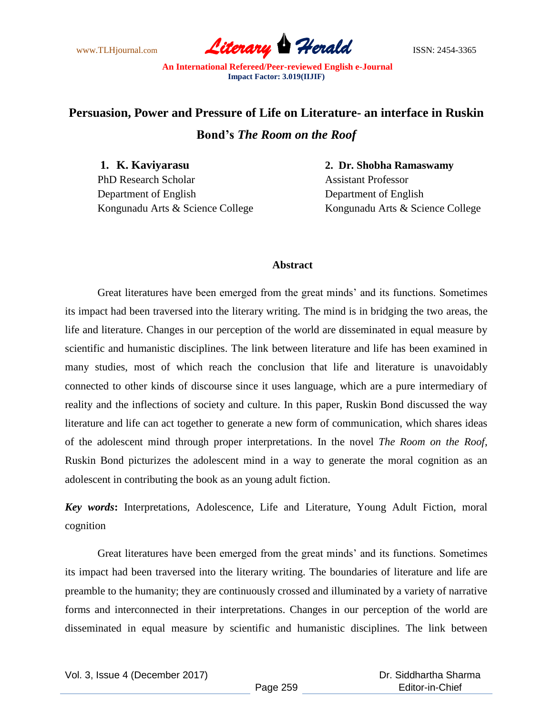www.TLHjournal.com **Literary Herald Herald** ISSN: 2454-3365

## **Persuasion, Power and Pressure of Life on Literature- an interface in Ruskin Bond's** *The Room on the Roof*

PhD Research Scholar Assistant Professor Department of English Department of English

**1. K. Kaviyarasu 2. Dr. Shobha Ramaswamy** Kongunadu Arts & Science College Kongunadu Arts & Science College

## **Abstract**

Great literatures have been emerged from the great minds' and its functions. Sometimes its impact had been traversed into the literary writing. The mind is in bridging the two areas, the life and literature. Changes in our perception of the world are disseminated in equal measure by scientific and humanistic disciplines. The link between literature and life has been examined in many studies, most of which reach the conclusion that life and literature is unavoidably connected to other kinds of discourse since it uses language, which are a pure intermediary of reality and the inflections of society and culture. In this paper, Ruskin Bond discussed the way literature and life can act together to generate a new form of communication, which shares ideas of the adolescent mind through proper interpretations. In the novel *The Room on the Roof*, Ruskin Bond picturizes the adolescent mind in a way to generate the moral cognition as an adolescent in contributing the book as an young adult fiction.

*Key words***:** Interpretations, Adolescence, Life and Literature, Young Adult Fiction, moral cognition

Great literatures have been emerged from the great minds' and its functions. Sometimes its impact had been traversed into the literary writing. The boundaries of literature and life are preamble to the humanity; they are continuously crossed and illuminated by a variety of narrative forms and interconnected in their interpretations. Changes in our perception of the world are disseminated in equal measure by scientific and humanistic disciplines. The link between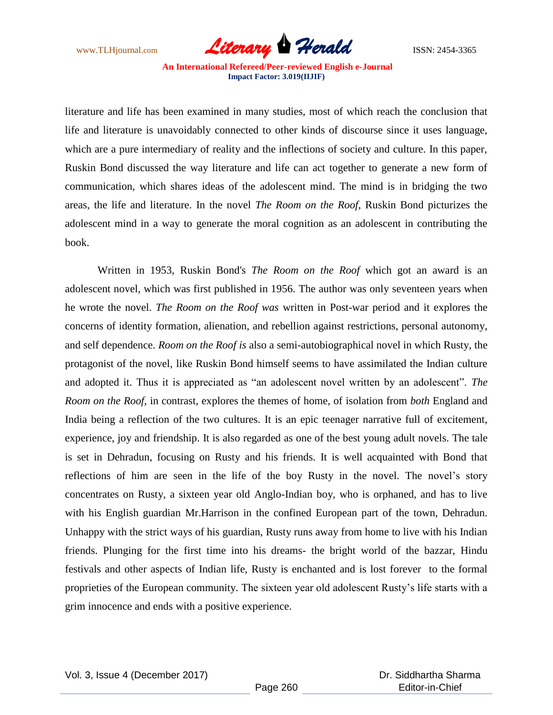

literature and life has been examined in many studies, most of which reach the conclusion that life and literature is unavoidably connected to other kinds of discourse since it uses language, which are a pure intermediary of reality and the inflections of society and culture. In this paper, Ruskin Bond discussed the way literature and life can act together to generate a new form of communication, which shares ideas of the adolescent mind. The mind is in bridging the two areas, the life and literature. In the novel *The Room on the Roof*, Ruskin Bond picturizes the adolescent mind in a way to generate the moral cognition as an adolescent in contributing the book.

Written in 1953, Ruskin Bond's *The Room on the Roof* which got an award is an adolescent novel, which was first published in 1956. The author was only seventeen years when he wrote the novel. *The Room on the Roof was* written in Post-war period and it explores the concerns of identity formation, alienation, and rebellion against restrictions, personal autonomy, and self dependence. *Room on the Roof is* also a semi-autobiographical novel in which Rusty, the protagonist of the novel, like Ruskin Bond himself seems to have assimilated the Indian culture and adopted it. Thus it is appreciated as "an adolescent novel written by an adolescent". *The Room on the Roof,* in contrast, explores the themes of home, of isolation from *both* England and India being a reflection of the two cultures. It is an epic teenager narrative full of excitement, experience, joy and friendship. It is also regarded as one of the best young adult novels. The tale is set in Dehradun, focusing on Rusty and his friends. It is well acquainted with Bond that reflections of him are seen in the life of the boy Rusty in the novel. The novel's story concentrates on Rusty, a sixteen year old Anglo-Indian boy, who is orphaned, and has to live with his English guardian Mr.Harrison in the confined European part of the town, Dehradun. Unhappy with the strict ways of his guardian, Rusty runs away from home to live with his Indian friends. Plunging for the first time into his dreams- the bright world of the bazzar, Hindu festivals and other aspects of Indian life, Rusty is enchanted and is lost forever to the formal proprieties of the European community. The sixteen year old adolescent Rusty's life starts with a grim innocence and ends with a positive experience.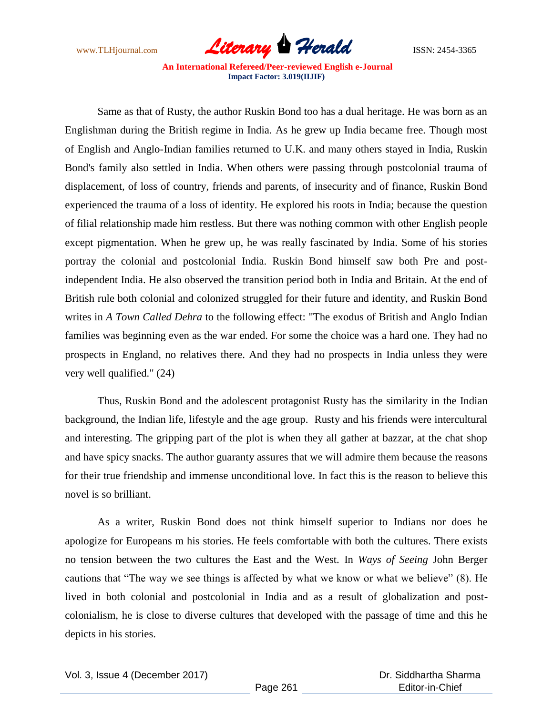

Same as that of Rusty, the author Ruskin Bond too has a dual heritage. He was born as an Englishman during the British regime in India. As he grew up India became free. Though most of English and Anglo-Indian families returned to U.K. and many others stayed in India, Ruskin Bond's family also settled in India. When others were passing through postcolonial trauma of displacement, of loss of country, friends and parents, of insecurity and of finance, Ruskin Bond experienced the trauma of a loss of identity. He explored his roots in India; because the question of filial relationship made him restless. But there was nothing common with other English people except pigmentation. When he grew up, he was really fascinated by India. Some of his stories portray the colonial and postcolonial India. Ruskin Bond himself saw both Pre and postindependent India. He also observed the transition period both in India and Britain. At the end of British rule both colonial and colonized struggled for their future and identity, and Ruskin Bond writes in *A Town Called Dehra* to the following effect: "The exodus of British and Anglo Indian families was beginning even as the war ended. For some the choice was a hard one. They had no prospects in England, no relatives there. And they had no prospects in India unless they were very well qualified." (24)

Thus, Ruskin Bond and the adolescent protagonist Rusty has the similarity in the Indian background, the Indian life, lifestyle and the age group. Rusty and his friends were intercultural and interesting. The gripping part of the plot is when they all gather at bazzar, at the chat shop and have spicy snacks. The author guaranty assures that we will admire them because the reasons for their true friendship and immense unconditional love. In fact this is the reason to believe this novel is so brilliant.

As a writer, Ruskin Bond does not think himself superior to Indians nor does he apologize for Europeans m his stories. He feels comfortable with both the cultures. There exists no tension between the two cultures the East and the West. In *Ways of Seeing* John Berger cautions that "The way we see things is affected by what we know or what we believe" (8). He lived in both colonial and postcolonial in India and as a result of globalization and postcolonialism, he is close to diverse cultures that developed with the passage of time and this he depicts in his stories.